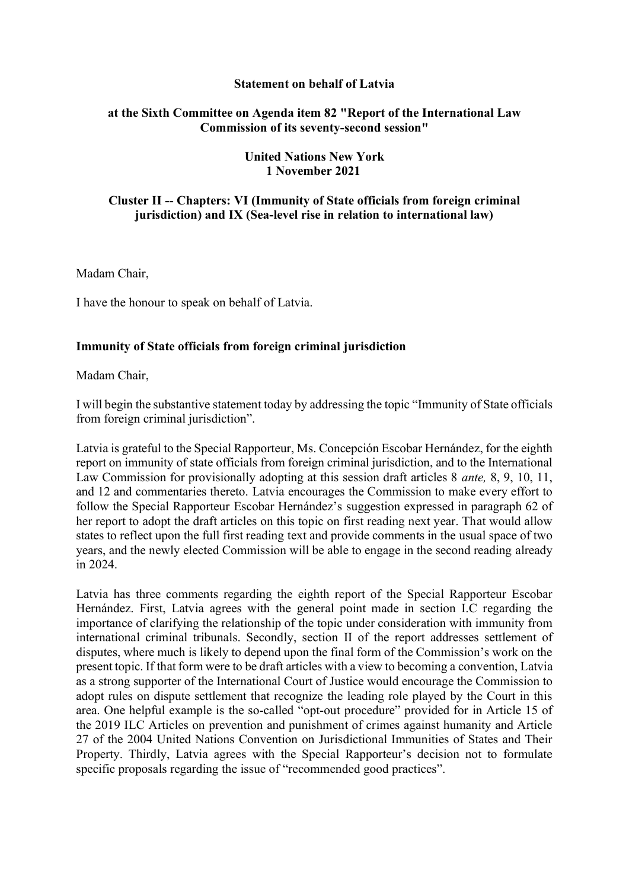### **Statement on behalf of Latvia**

### **at the Sixth Committee on Agenda item 82 "Report of the International Law Commission of its seventy-second session"**

### **United Nations New York 1 November 2021**

# **Cluster II -- Chapters: VI (Immunity of State officials from foreign criminal jurisdiction) and IX (Sea-level rise in relation to international law)**

Madam Chair,

I have the honour to speak on behalf of Latvia.

# **Immunity of State officials from foreign criminal jurisdiction**

Madam Chair,

I will begin the substantive statement today by addressing the topic "Immunity of State officials from foreign criminal jurisdiction".

Latvia is grateful to the Special Rapporteur, Ms. Concepción Escobar Hernández, for the eighth report on immunity of state officials from foreign criminal jurisdiction, and to the International Law Commission for provisionally adopting at this session draft articles 8 *ante,* 8, 9, 10, 11, and 12 and commentaries thereto. Latvia encourages the Commission to make every effort to follow the Special Rapporteur Escobar Hernández's suggestion expressed in paragraph 62 of her report to adopt the draft articles on this topic on first reading next year. That would allow states to reflect upon the full first reading text and provide comments in the usual space of two years, and the newly elected Commission will be able to engage in the second reading already in 2024.

Latvia has three comments regarding the eighth report of the Special Rapporteur Escobar Hernández. First, Latvia agrees with the general point made in section I.C regarding the importance of clarifying the relationship of the topic under consideration with immunity from international criminal tribunals. Secondly, section II of the report addresses settlement of disputes, where much is likely to depend upon the final form of the Commission's work on the present topic. If that form were to be draft articles with a view to becoming a convention, Latvia as a strong supporter of the International Court of Justice would encourage the Commission to adopt rules on dispute settlement that recognize the leading role played by the Court in this area. One helpful example is the so-called "opt-out procedure" provided for in Article 15 of the 2019 ILC Articles on prevention and punishment of crimes against humanity and Article 27 of the 2004 United Nations Convention on Jurisdictional Immunities of States and Their Property. Thirdly, Latvia agrees with the Special Rapporteur's decision not to formulate specific proposals regarding the issue of "recommended good practices".